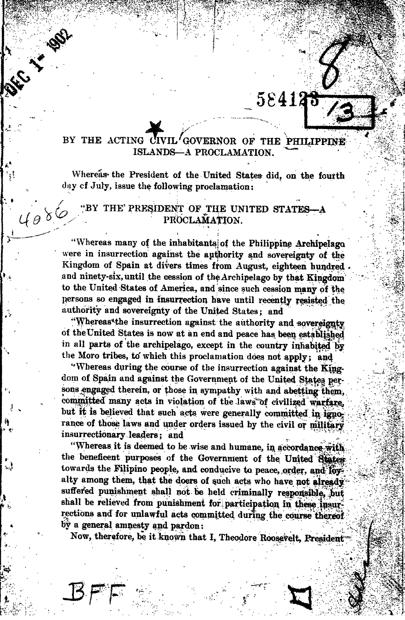## **CONSTRUCTION OF REAL PROPERTY.** 584123  $\sum_{i=1}^n$

rj?

# BY THE ACTING CIVIL/GOVERNOR OF THE PHILIPPINE ISLANDS—A PROCLAMATION.

:

Whereas the President of the United States did, on the fourth day cf July, issue the following proclamation;

## "BY THE PRESIDENT OF THE UNITED STATES PROCLAMATION.

 $4086$ 

"Whereas many of the inhabitants] of the Philippine Archipelago were in insurrection against the authority and sovereignty of the Kingdom of Spain at divers times from August, eighteen hundred and ninety-six, until the cession of the Archipelago by that Kingdom to the United States of America, and since such cession many of the persons so engaged in insurrection have until recently resisted the authority and sovereignty of the United States; and

"Whereas\*the insurrection against the authority and sovereignty of the United States is now at an end and peace has been established in all parts of the archipelago, except in the country inhabited by the Moro tribes, to which this proclamation does not apply; and

"Whereas during the course of the insurrection against the King dom of Spain and against the Government of the United States persons engaged therein, or those in sympathy with and abetting them, committed many acts in violation of the laws of civilized warfare. but it is believed that such acts were generally committed in ignorance of those laws and under orders issued by the civil or military insurrectionary leaders; and

"Whereas it is deemed to be wise and humane, in accordance with the beneficent purposes of the Government of the United States towards the Filipino people, and conducive to peace, order, and foralty among them, that the doers of such acts who have pot already suffered punishment shall not be held criminally responsible, but shall be relieved from punishment for participation in these insurrections and for unlawful acts committed during the course thereof by a general amnesty and pardon

Now, therefore, be it known that I, Theodore Roosevelt, President^

 $\mathcal{L}$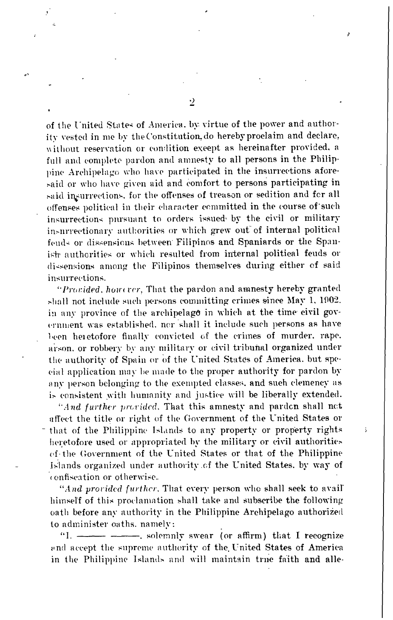of the United State\* of America, by virtue of the power and authority vested in me by the Constitution, do hereby proclaim and declare. without reservation or condition except as hereinafter provided, a full and complete pardon and amnesty to all persons in the Philippine Archipelago who have participated in the insurrections afore said or who have given aid and comfort to persons participating in said insurrections, for the offenses of treason or sedition and fcr all offenses political in their character committed in the course of such insurrections pursuant to orders issued- by the civil or military insurrectionary authorities or which grew out of internal political feuds or dissensions between Filipinos and Spaniards or the Spanish authorities or which resulted from internal political feuds or dissensions among the Filipinos themselves during either of said insurrections.

"Provided, hourcer. That the pardon and amnesty hereby granted shall not include such persons committing crimes since May 1, 1002. in any province of the archipelage in which at the time civil gov ernment was established, nor shall it include such persons as have 1-een heietofore finally convicted of the crimes of murder, rape, arson, or robbery by any military or civil tribunal organized under the authority of Spain or of the United States of America, but special application may bemade to the proper authority for pardon by any person belonging to the exempted classes, and such clemency as is consistent with humanity and justice will be liberally extended.

"And further provided. That this amnesty and pardon shall not affect the title or right of the Government of the United States or that of the Philippine Islands to any property or property rights and the Philippine Islands to any property or property rights heretofore used or appropriated by the military or civil authorities of- the Government of the United States or that of the Philippine Islands organized under authority. of the United States, by way ofconfiscation or otherwise-

"And provided further. That every person who shall seek to avail" himself of this proclamation shall take and subscribe the following oath before any authority in the Philippine Archipelago authorized to administer oaths, namely:

"I. ----------------. solemnly swear (or affirm) that I recognize end accept the supreme authority of the United States of America in the Philippine Islands and will maintain true faith and alle-

 $\cdot$